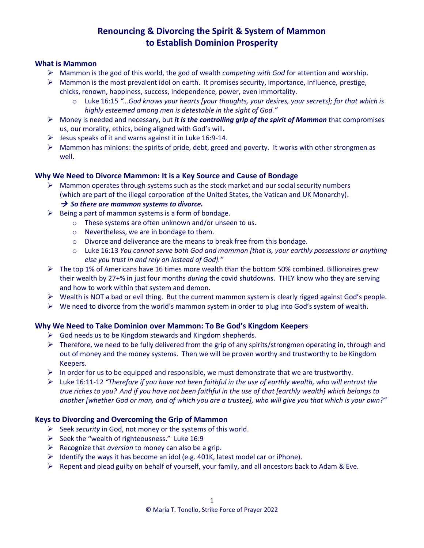### **What is Mammon**

- Mammon is the god of this world, the god of wealth *competing with God* for attention and worship.
- $\triangleright$  Mammon is the most prevalent idol on earth. It promises security, importance, influence, prestige, chicks, renown, happiness, success, independence, power, even immortality.
	- o Luke 16:15 *"…God knows your hearts [your thoughts, your desires, your secrets]; for that which is highly esteemed among men is detestable in the sight of God."*
- Money is needed and necessary, but *it is the controlling grip of the spirit of Mammon* that compromises us, our morality, ethics, being aligned with God's will*.*
- $\triangleright$  Jesus speaks of it and warns against it in Luke 16:9-14.
- $\triangleright$  Mammon has minions: the spirits of pride, debt, greed and poverty. It works with other strongmen as well.

## **Why We Need to Divorce Mammon: It is a Key Source and Cause of Bondage**

 $\triangleright$  Mammon operates through systems such as the stock market and our social security numbers (which are part of the illegal corporation of the United States, the Vatican and UK Monarchy).

## → *So there are mammon systems to divorce.*

- $\triangleright$  Being a part of mammon systems is a form of bondage.
	- o These systems are often unknown and/or unseen to us.
	- o Nevertheless, we are in bondage to them.
	- o Divorce and deliverance are the means to break free from this bondage.
	- o Luke 16:13 *You cannot serve both God and mammon [that is, your earthly possessions or anything else you trust in and rely on instead of God]."*
- $\triangleright$  The top 1% of Americans have 16 times more wealth than the bottom 50% combined. Billionaires grew their wealth by 27+% in just four months *during* the covid shutdowns. THEY know who they are serving and how to work within that system and demon.
- $\triangleright$  Wealth is NOT a bad or evil thing. But the current mammon system is clearly rigged against God's people.
- $\triangleright$  We need to divorce from the world's mammon system in order to plug into God's system of wealth.

## **Why We Need to Take Dominion over Mammon: To Be God's Kingdom Keepers**

- $\triangleright$  God needs us to be Kingdom stewards and Kingdom shepherds.
- $\triangleright$  Therefore, we need to be fully delivered from the grip of any spirits/strongmen operating in, through and out of money and the money systems. Then we will be proven worthy and trustworthy to be Kingdom Keepers.
- $\triangleright$  In order for us to be equipped and responsible, we must demonstrate that we are trustworthy.
- Luke 16:11-12 *"Therefore if you have not been faithful in the use of earthly wealth, who will entrust the true riches to you? And if you have not been faithful in the use of that [earthly wealth] which belongs to another [whether God or man, and of which you are a trustee], who will give you that which is your own?"*

## **Keys to Divorcing and Overcoming the Grip of Mammon**

- Seek *security* in God, not money or the systems of this world.
- $\triangleright$  Seek the "wealth of righteousness." Luke 16:9
- Recognize that *aversion* to money can also be a grip.
- $\triangleright$  Identify the ways it has become an idol (e.g. 401K, latest model car or iPhone).
- $\triangleright$  Repent and plead guilty on behalf of yourself, your family, and all ancestors back to Adam & Eve.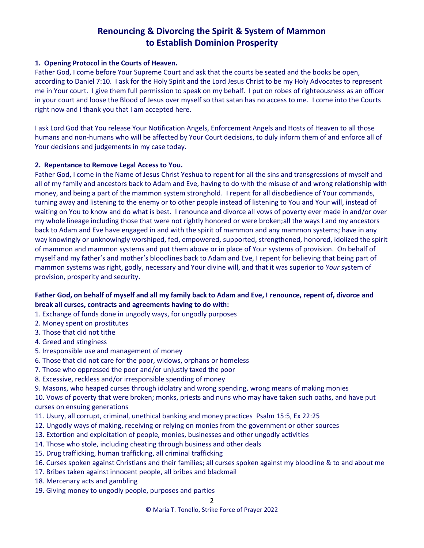### **1. Opening Protocol in the Courts of Heaven.**

Father God, I come before Your Supreme Court and ask that the courts be seated and the books be open, according to Daniel 7:10. I ask for the Holy Spirit and the Lord Jesus Christ to be my Holy Advocates to represent me in Your court. I give them full permission to speak on my behalf. I put on robes of righteousness as an officer in your court and loose the Blood of Jesus over myself so that satan has no access to me. I come into the Courts right now and I thank you that I am accepted here.

I ask Lord God that You release Your Notification Angels, Enforcement Angels and Hosts of Heaven to all those humans and non-humans who will be affected by Your Court decisions, to duly inform them of and enforce all of Your decisions and judgements in my case today.

## **2. Repentance to Remove Legal Access to You.**

Father God, I come in the Name of Jesus Christ Yeshua to repent for all the sins and transgressions of myself and all of my family and ancestors back to Adam and Eve, having to do with the misuse of and wrong relationship with money, and being a part of the mammon system stronghold. I repent for all disobedience of Your commands, turning away and listening to the enemy or to other people instead of listening to You and Your will, instead of waiting on You to know and do what is best. I renounce and divorce all vows of poverty ever made in and/or over my whole lineage including those that were not rightly honored or were broken;all the ways I and my ancestors back to Adam and Eve have engaged in and with the spirit of mammon and any mammon systems; have in any way knowingly or unknowingly worshiped, fed, empowered, supported, strengthened, honored, idolized the spirit of mammon and mammon systems and put them above or in place of Your systems of provision. On behalf of myself and my father's and mother's bloodlines back to Adam and Eve, I repent for believing that being part of mammon systems was right, godly, necessary and Your divine will, and that it was superior to *Your* system of provision, prosperity and security.

## **Father God, on behalf of myself and all my family back to Adam and Eve, I renounce, repent of, divorce and break all curses, contracts and agreements having to do with:**

- 1. Exchange of funds done in ungodly ways, for ungodly purposes
- 2. Money spent on prostitutes
- 3. Those that did not tithe
- 4. Greed and stinginess
- 5. Irresponsible use and management of money
- 6. Those that did not care for the poor, widows, orphans or homeless
- 7. Those who oppressed the poor and/or unjustly taxed the poor
- 8. Excessive, reckless and/or irresponsible spending of money
- 9. Masons, who heaped curses through idolatry and wrong spending, wrong means of making monies

10. Vows of poverty that were broken; monks, priests and nuns who may have taken such oaths, and have put curses on ensuing generations

- 11. Usury, all corrupt, criminal, unethical banking and money practices Psalm 15:5, Ex 22:25
- 12. Ungodly ways of making, receiving or relying on monies from the government or other sources
- 13. Extortion and exploitation of people, monies, businesses and other ungodly activities
- 14. Those who stole, including cheating through business and other deals
- 15. Drug trafficking, human trafficking, all criminal trafficking
- 16. Curses spoken against Christians and their families; all curses spoken against my bloodline & to and about me
- 17. Bribes taken against innocent people, all bribes and blackmail
- 18. Mercenary acts and gambling
- 19. Giving money to ungodly people, purposes and parties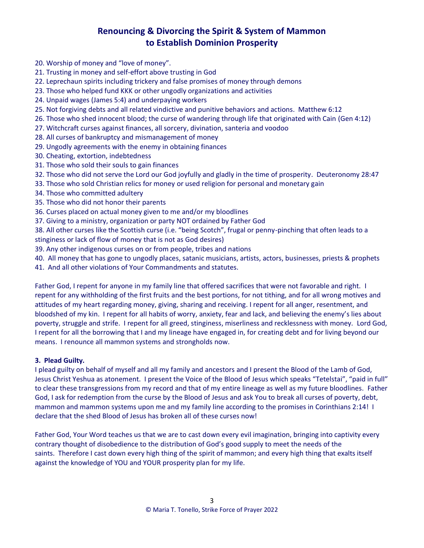- 20. Worship of money and "love of money".
- 21. Trusting in money and self-effort above trusting in God
- 22. Leprechaun spirits including trickery and false promises of money through demons
- 23. Those who helped fund KKK or other ungodly organizations and activities
- 24. Unpaid wages (James 5:4) and underpaying workers
- 25. Not forgiving debts and all related vindictive and punitive behaviors and actions. Matthew 6:12
- 26. Those who shed innocent blood; the curse of wandering through life that originated with Cain (Gen 4:12)
- 27. Witchcraft curses against finances, all sorcery, divination, santeria and voodoo
- 28. All curses of bankruptcy and mismanagement of money
- 29. Ungodly agreements with the enemy in obtaining finances
- 30. Cheating, extortion, indebtedness
- 31. Those who sold their souls to gain finances
- 32. Those who did not serve the Lord our God joyfully and gladly in the time of prosperity. Deuteronomy 28:47
- 33. Those who sold Christian relics for money or used religion for personal and monetary gain
- 34. Those who committed adultery
- 35. Those who did not honor their parents
- 36. Curses placed on actual money given to me and/or my bloodlines
- 37. Giving to a ministry, organization or party NOT ordained by Father God
- 38. All other curses like the Scottish curse (i.e. "being Scotch", frugal or penny-pinching that often leads to a
- stinginess or lack of flow of money that is not as God desires)
- 39. Any other indigenous curses on or from people, tribes and nations
- 40. All money that has gone to ungodly places, satanic musicians, artists, actors, businesses, priests & prophets
- 41. And all other violations of Your Commandments and statutes.

Father God, I repent for anyone in my family line that offered sacrifices that were not favorable and right. I repent for any withholding of the first fruits and the best portions, for not tithing, and for all wrong motives and attitudes of my heart regarding money, giving, sharing and receiving. I repent for all anger, resentment, and bloodshed of my kin. I repent for all habits of worry, anxiety, fear and lack, and believing the enemy's lies about poverty, struggle and strife. I repent for all greed, stinginess, miserliness and recklessness with money. Lord God, I repent for all the borrowing that I and my lineage have engaged in, for creating debt and for living beyond our means. I renounce all mammon systems and strongholds now.

### **3. Plead Guilty.**

I plead guilty on behalf of myself and all my family and ancestors and I present the Blood of the Lamb of God, Jesus Christ Yeshua as atonement. I present the Voice of the Blood of Jesus which speaks "Tetelstai", "paid in full" to clear these transgressions from my record and that of my entire lineage as well as my future bloodlines. Father God, I ask for redemption from the curse by the Blood of Jesus and ask You to break all curses of poverty, debt, mammon and mammon systems upon me and my family line according to the promises in Corinthians 2:14! I declare that the shed Blood of Jesus has broken all of these curses now!

Father God, Your Word teaches us that we are to cast down every evil imagination, bringing into captivity every contrary thought of disobedience to the distribution of God's good supply to meet the needs of the saints. Therefore I cast down every high thing of the spirit of mammon; and every high thing that exalts itself against the knowledge of YOU and YOUR prosperity plan for my life.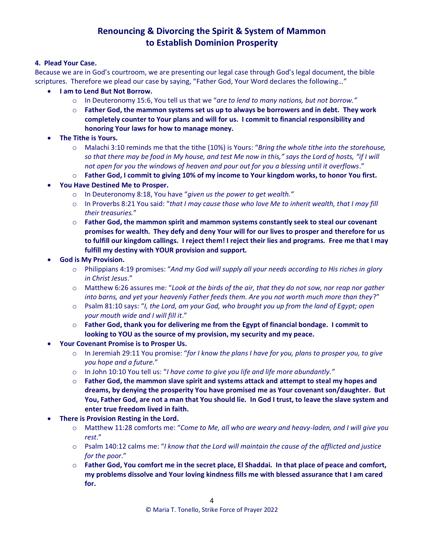### **4. Plead Your Case.**

Because we are in God's courtroom, we are presenting our legal case through God's legal document, the bible scriptures. Therefore we plead our case by saying, "Father God, Your Word declares the following…"

- **I am to Lend But Not Borrow.**
	- o In Deuteronomy 15:6, You tell us that we "*are to lend to many nations, but not borrow."*
	- o **Father God, the mammon systems set us up to always be borrowers and in debt. They work completely counter to Your plans and will for us. I commit to financial responsibility and honoring Your laws for how to manage money.**
- **The Tithe is Yours.**
	- o Malachi 3:10 reminds me that the tithe (10%) is Yours: "*Bring the whole tithe into the storehouse, so that there may be food in My house, and test Me now in this," says the Lord of hosts, "if I will not open for you the windows of heaven and pour out for you a blessing until it overflows*."
	- o **Father God, I commit to giving 10% of my income to Your kingdom works, to honor You first.**
- **You Have Destined Me to Prosper.**
	- o In Deuteronomy 8:18, You have "*given us the power to get wealth."*
	- o In Proverbs 8:21 You said: "*that I may cause those who love Me to inherit wealth, that I may fill their treasuries.*"
	- o **Father God, the mammon spirit and mammon systems constantly seek to steal our covenant promises for wealth. They defy and deny Your will for our lives to prosper and therefore for us to fulfill our kingdom callings. I reject them! I reject their lies and programs. Free me that I may fulfill my destiny with YOUR provision and support.**
- **God is My Provision.**
	- o Philippians 4:19 promises: "*And my God will supply all your needs according to His riches in glory in Christ Jesus*."
	- o Matthew 6:26 assures me: "*Look at the birds of the air, that they do not sow, nor reap nor gather into barns, and yet your heavenly Father feeds them. Are you not worth much more than they*?"
	- o Psalm 81:10 says: "*I, the Lord, am your God, who brought you up from the land of Egypt; open your mouth wide and I will fill it*."
	- o **Father God, thank you for delivering me from the Egypt of financial bondage. I commit to looking to YOU as the source of my provision, my security and my peace.**
- **Your Covenant Promise is to Prosper Us.**
	- o In Jeremiah 29:11 You promise: "*for I know the plans I have for you, plans to prosper you, to give you hope and a future.*"
	- o In John 10:10 You tell us: "*I have come to give you life and life more abundantly."*
	- o **Father God, the mammon slave spirit and systems attack and attempt to steal my hopes and dreams, by denying the prosperity You have promised me as Your covenant son/daughter. But You, Father God, are not a man that You should lie. In God I trust, to leave the slave system and enter true freedom lived in faith.**
- **There is Provision Resting in the Lord.**
	- o Matthew 11:28 comforts me: "*Come to Me, all who are weary and heavy-laden, and I will give you rest*."
	- o Psalm 140:12 calms me: "*I know that the Lord will maintain the cause of the afflicted and justice for the poor*."
	- o **Father God, You comfort me in the secret place, El Shaddai. In that place of peace and comfort, my problems dissolve and Your loving kindness fills me with blessed assurance that I am cared for.**